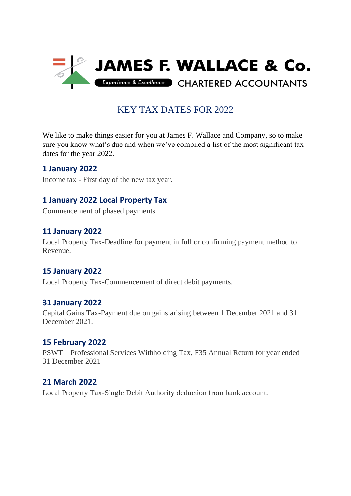

# KEY TAX DATES FOR 2022

We like to make things easier for you at James F. Wallace and Company, so to make sure you know what's due and when we've compiled a list of the most significant tax dates for the year 2022.

### **1 January 2022**

Income tax - First day of the new tax year.

## **1 January 2022 Local Property Tax**

Commencement of phased payments.

### **11 January 2022**

Local Property Tax-Deadline for payment in full or confirming payment method to Revenue.

### **15 January 2022**

Local Property Tax-Commencement of direct debit payments.

### **31 January 2022**

Capital Gains Tax-Payment due on gains arising between 1 December 2021 and 31 December 2021.

#### **15 February 2022**

PSWT – Professional Services Withholding Tax, F35 Annual Return for year ended 31 December 2021

### **21 March 2022**

Local Property Tax-Single Debit Authority deduction from bank account.